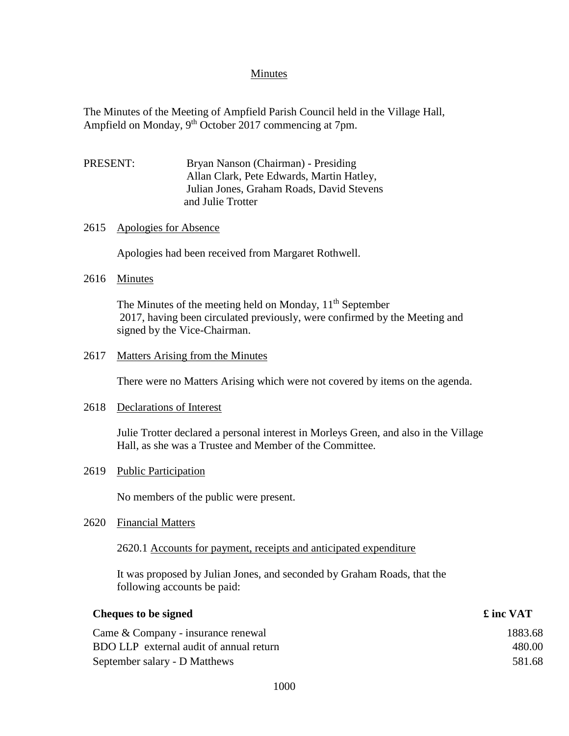## Minutes

The Minutes of the Meeting of Ampfield Parish Council held in the Village Hall, Ampfield on Monday, 9<sup>th</sup> October 2017 commencing at 7pm.

PRESENT: Bryan Nanson (Chairman) - Presiding Allan Clark, Pete Edwards, Martin Hatley, Julian Jones, Graham Roads, David Stevens and Julie Trotter

#### 2615 Apologies for Absence

Apologies had been received from Margaret Rothwell.

## 2616 Minutes

The Minutes of the meeting held on Monday, 11<sup>th</sup> September 2017, having been circulated previously, were confirmed by the Meeting and signed by the Vice-Chairman.

#### 2617 Matters Arising from the Minutes

There were no Matters Arising which were not covered by items on the agenda.

#### 2618 Declarations of Interest

Julie Trotter declared a personal interest in Morleys Green, and also in the Village Hall, as she was a Trustee and Member of the Committee.

2619 Public Participation

No members of the public were present.

2620 Financial Matters

## 2620.1 Accounts for payment, receipts and anticipated expenditure

It was proposed by Julian Jones, and seconded by Graham Roads, that the following accounts be paid:

| Cheques to be signed                    | £ inc VAT |
|-----------------------------------------|-----------|
| Came & Company - insurance renewal      | 1883.68   |
| BDO LLP external audit of annual return | 480.00    |
| September salary - D Matthews           | 581.68    |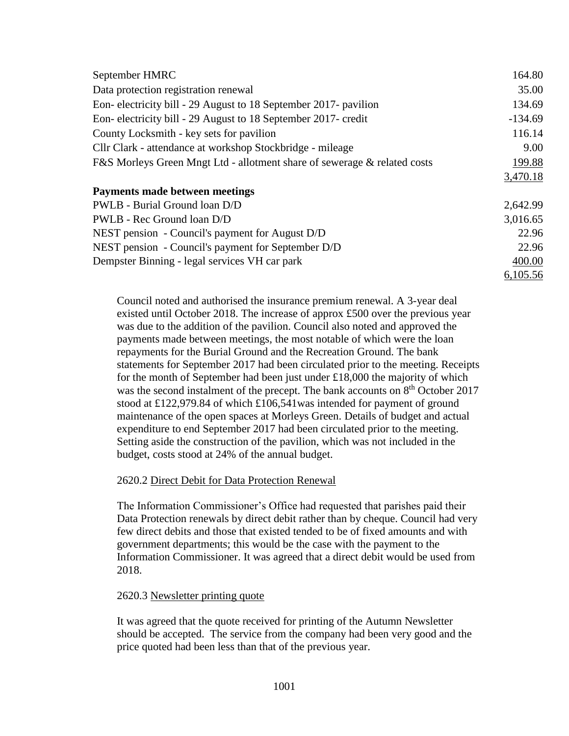| September HMRC                                                           | 164.80    |
|--------------------------------------------------------------------------|-----------|
| Data protection registration renewal                                     | 35.00     |
| Eon-electricity bill - 29 August to 18 September 2017- pavilion          | 134.69    |
| Eon-electricity bill - 29 August to 18 September 2017-credit             | $-134.69$ |
| County Locksmith - key sets for pavilion                                 | 116.14    |
| Cllr Clark - attendance at workshop Stockbridge - mileage                | 9.00      |
| F&S Morleys Green Mngt Ltd - allotment share of sewerage & related costs | 199.88    |
|                                                                          | 3,470.18  |
| <b>Payments made between meetings</b>                                    |           |
| PWLB - Burial Ground loan D/D                                            | 2,642.99  |
| PWLB - Rec Ground loan D/D                                               | 3,016.65  |
| NEST pension - Council's payment for August D/D                          | 22.96     |
| NEST pension - Council's payment for September D/D                       | 22.96     |
| Dempster Binning - legal services VH car park                            | 400.00    |
|                                                                          | 6,105.56  |

Council noted and authorised the insurance premium renewal. A 3-year deal existed until October 2018. The increase of approx £500 over the previous year was due to the addition of the pavilion. Council also noted and approved the payments made between meetings, the most notable of which were the loan repayments for the Burial Ground and the Recreation Ground. The bank statements for September 2017 had been circulated prior to the meeting. Receipts for the month of September had been just under £18,000 the majority of which was the second instalment of the precept. The bank accounts on 8<sup>th</sup> October 2017 stood at £122,979.84 of which £106,541was intended for payment of ground maintenance of the open spaces at Morleys Green. Details of budget and actual expenditure to end September 2017 had been circulated prior to the meeting. Setting aside the construction of the pavilion, which was not included in the budget, costs stood at 24% of the annual budget.

#### 2620.2 Direct Debit for Data Protection Renewal

The Information Commissioner's Office had requested that parishes paid their Data Protection renewals by direct debit rather than by cheque. Council had very few direct debits and those that existed tended to be of fixed amounts and with government departments; this would be the case with the payment to the Information Commissioner. It was agreed that a direct debit would be used from 2018.

#### 2620.3 Newsletter printing quote

It was agreed that the quote received for printing of the Autumn Newsletter should be accepted. The service from the company had been very good and the price quoted had been less than that of the previous year.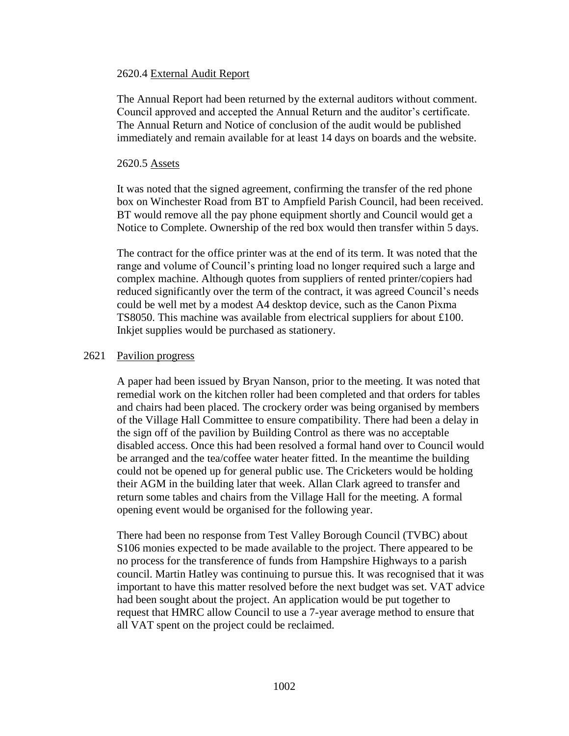### 2620.4 External Audit Report

The Annual Report had been returned by the external auditors without comment. Council approved and accepted the Annual Return and the auditor's certificate. The Annual Return and Notice of conclusion of the audit would be published immediately and remain available for at least 14 days on boards and the website.

### 2620.5 Assets

It was noted that the signed agreement, confirming the transfer of the red phone box on Winchester Road from BT to Ampfield Parish Council, had been received. BT would remove all the pay phone equipment shortly and Council would get a Notice to Complete. Ownership of the red box would then transfer within 5 days.

The contract for the office printer was at the end of its term. It was noted that the range and volume of Council's printing load no longer required such a large and complex machine. Although quotes from suppliers of rented printer/copiers had reduced significantly over the term of the contract, it was agreed Council's needs could be well met by a modest A4 desktop device, such as the Canon Pixma TS8050. This machine was available from electrical suppliers for about £100. Inkjet supplies would be purchased as stationery.

## 2621 Pavilion progress

A paper had been issued by Bryan Nanson, prior to the meeting. It was noted that remedial work on the kitchen roller had been completed and that orders for tables and chairs had been placed. The crockery order was being organised by members of the Village Hall Committee to ensure compatibility. There had been a delay in the sign off of the pavilion by Building Control as there was no acceptable disabled access. Once this had been resolved a formal hand over to Council would be arranged and the tea/coffee water heater fitted. In the meantime the building could not be opened up for general public use. The Cricketers would be holding their AGM in the building later that week. Allan Clark agreed to transfer and return some tables and chairs from the Village Hall for the meeting. A formal opening event would be organised for the following year.

There had been no response from Test Valley Borough Council (TVBC) about S106 monies expected to be made available to the project. There appeared to be no process for the transference of funds from Hampshire Highways to a parish council. Martin Hatley was continuing to pursue this. It was recognised that it was important to have this matter resolved before the next budget was set. VAT advice had been sought about the project. An application would be put together to request that HMRC allow Council to use a 7-year average method to ensure that all VAT spent on the project could be reclaimed.